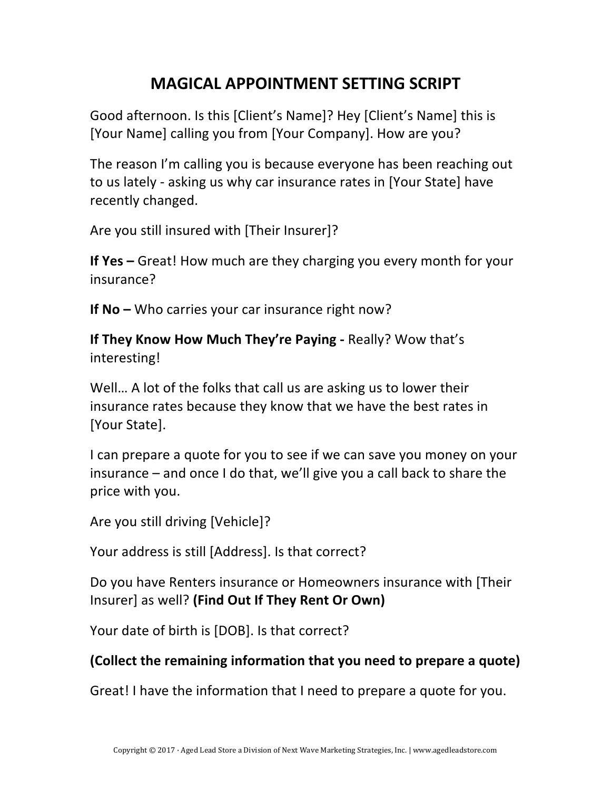## **MAGICAL APPOINTMENT SETTING SCRIPT**

Good afternoon. Is this [Client's Name]? Hey [Client's Name] this is [Your Name] calling you from [Your Company]. How are you?

The reason I'm calling you is because everyone has been reaching out to us lately - asking us why car insurance rates in [Your State] have recently changed.

Are you still insured with [Their Insurer]?

**If Yes** – Great! How much are they charging you every month for your insurance?

**If No** – Who carries your car insurance right now?

**If They Know How Much They're Paying - Really? Wow that's** interesting! 

Well... A lot of the folks that call us are asking us to lower their insurance rates because they know that we have the best rates in [Your State].

I can prepare a quote for you to see if we can save you money on your insurance  $-$  and once I do that, we'll give you a call back to share the price with you.

Are you still driving [Vehicle]?

Your address is still [Address]. Is that correct?

Do you have Renters insurance or Homeowners insurance with [Their Insurer] as well? (Find Out If They Rent Or Own)

Your date of birth is [DOB]. Is that correct?

## **(Collect the remaining information that you need to prepare a quote)**

Great! I have the information that I need to prepare a quote for you.